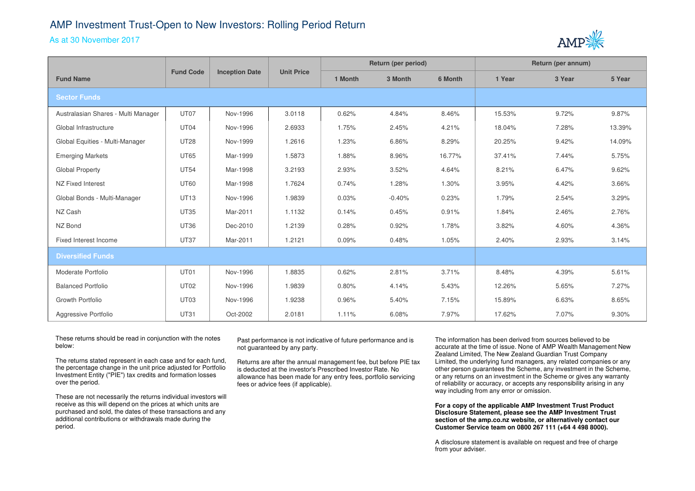## AMP Investment Trust-Open to New Investors: Rolling Period Return

## As at 30 November 2017



|                                     | <b>Fund Code</b> | <b>Inception Date</b> | <b>Unit Price</b> | Return (per period) |          |         | Return (per annum) |        |        |
|-------------------------------------|------------------|-----------------------|-------------------|---------------------|----------|---------|--------------------|--------|--------|
| <b>Fund Name</b>                    |                  |                       |                   | 1 Month             | 3 Month  | 6 Month | 1 Year             | 3 Year | 5 Year |
| <b>Sector Funds</b>                 |                  |                       |                   |                     |          |         |                    |        |        |
| Australasian Shares - Multi Manager | UT07             | Nov-1996              | 3.0118            | 0.62%               | 4.84%    | 8.46%   | 15.53%             | 9.72%  | 9.87%  |
| Global Infrastructure               | UT04             | Nov-1996              | 2.6933            | 1.75%               | 2.45%    | 4.21%   | 18.04%             | 7.28%  | 13.39% |
| Global Equities - Multi-Manager     | <b>UT28</b>      | Nov-1999              | 1.2616            | 1.23%               | 6.86%    | 8.29%   | 20.25%             | 9.42%  | 14.09% |
| <b>Emerging Markets</b>             | <b>UT65</b>      | Mar-1999              | 1.5873            | 1.88%               | 8.96%    | 16.77%  | 37.41%             | 7.44%  | 5.75%  |
| Global Property                     | <b>UT54</b>      | Mar-1998              | 3.2193            | 2.93%               | 3.52%    | 4.64%   | 8.21%              | 6.47%  | 9.62%  |
| NZ Fixed Interest                   | <b>UT60</b>      | Mar-1998              | 1.7624            | 0.74%               | 1.28%    | 1.30%   | 3.95%              | 4.42%  | 3.66%  |
| Global Bonds - Multi-Manager        | <b>UT13</b>      | Nov-1996              | 1.9839            | 0.03%               | $-0.40%$ | 0.23%   | 1.79%              | 2.54%  | 3.29%  |
| NZ Cash                             | <b>UT35</b>      | Mar-2011              | 1.1132            | 0.14%               | 0.45%    | 0.91%   | 1.84%              | 2.46%  | 2.76%  |
| NZ Bond                             | <b>UT36</b>      | Dec-2010              | 1.2139            | 0.28%               | 0.92%    | 1.78%   | 3.82%              | 4.60%  | 4.36%  |
| Fixed Interest Income               | <b>UT37</b>      | Mar-2011              | 1.2121            | 0.09%               | 0.48%    | 1.05%   | 2.40%              | 2.93%  | 3.14%  |
| <b>Diversified Funds</b>            |                  |                       |                   |                     |          |         |                    |        |        |
| Moderate Portfolio                  | UT01             | Nov-1996              | 1.8835            | 0.62%               | 2.81%    | 3.71%   | 8.48%              | 4.39%  | 5.61%  |
| <b>Balanced Portfolio</b>           | <b>UT02</b>      | Nov-1996              | 1.9839            | 0.80%               | 4.14%    | 5.43%   | 12.26%             | 5.65%  | 7.27%  |
| Growth Portfolio                    | UT <sub>03</sub> | Nov-1996              | 1.9238            | 0.96%               | 5.40%    | 7.15%   | 15.89%             | 6.63%  | 8.65%  |
| Aggressive Portfolio                | <b>UT31</b>      | Oct-2002              | 2.0181            | 1.11%               | 6.08%    | 7.97%   | 17.62%             | 7.07%  | 9.30%  |

These returns should be read in conjunction with the notes below:

The returns stated represent in each case and for each fund, the percentage change in the unit price adjusted for Portfolio Investment Entity ("PIE") tax credits and formation losses over the period.

These are not necessarily the returns individual investors will receive as this will depend on the prices at which units are purchased and sold, the dates of these transactions and anyadditional contributions or withdrawals made during the period.

Past performance is not indicative of future performance and is not guaranteed by any party.

Returns are after the annual management fee, but before PIE tax is deducted at the investor's Prescribed Investor Rate. No allowance has been made for any entry fees, portfolio servicing fees or advice fees (if applicable).

The information has been derived from sources believed to be accurate at the time of issue. None of AMP Wealth Management New Zealand Limited, The New Zealand Guardian Trust Company Limited, the underlying fund managers, any related companies or any other person guarantees the Scheme, any investment in the Scheme, or any returns on an investment in the Scheme or gives any warranty of reliability or accuracy, or accepts any responsibility arising in any way including from any error or omission.

**For a copy of the applicable AMP Investment Trust Product Disclosure Statement, please see the AMP Investment Trust section of the amp.co.nz website, or alternatively contact our Customer Service team on 0800 267 111 (+64 4 498 8000).**

A disclosure statement is available on request and free of charge from your adviser.